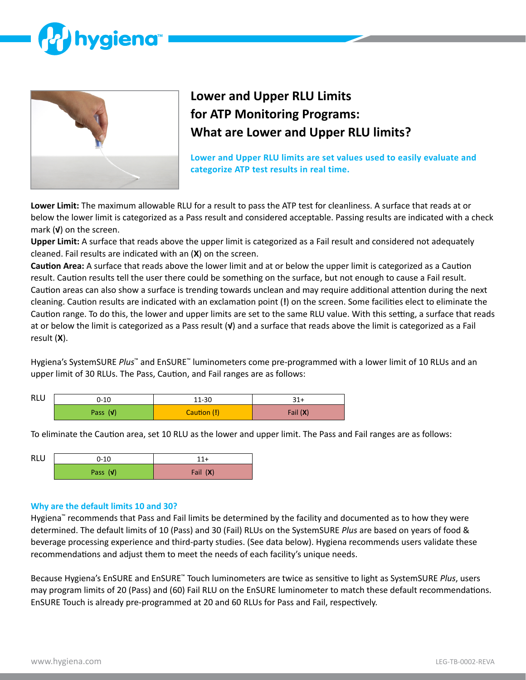



# **Lower and Upper RLU Limits for ATP Monitoring Programs: What are Lower and Upper RLU limits?**

**Lower and Upper RLU limits are set values used to easily evaluate and categorize ATP test results in real time.**

**Lower Limit:** The maximum allowable RLU for a result to pass the ATP test for cleanliness. A surface that reads at or below the lower limit is categorized as a Pass result and considered acceptable. Passing results are indicated with a check mark (**√**) on the screen.

**Upper Limit:** A surface that reads above the upper limit is categorized as a Fail result and considered not adequately cleaned. Fail results are indicated with an (**X**) on the screen.

**Caution Area:** A surface that reads above the lower limit and at or below the upper limit is categorized as a Caution result. Caution results tell the user there could be something on the surface, but not enough to cause a Fail result. Caution areas can also show a surface is trending towards unclean and may require additional attention during the next cleaning. Caution results are indicated with an exclamation point (**!**) on the screen. Some facilities elect to eliminate the Caution range. To do this, the lower and upper limits are set to the same RLU value. With this setting, a surface that reads at or below the limit is categorized as a Pass result (**√**) and a surface that reads above the limit is categorized as a Fail result (**X**).

Hygiena's SystemSURE *Plus*™ and EnSURE™ luminometers come pre-programmed with a lower limit of 10 RLUs and an upper limit of 30 RLUs. The Pass, Caution, and Fail ranges are as follows:

| <b>RLU</b> | $0 - 10$   | 11-30       | 31+        |
|------------|------------|-------------|------------|
|            | Pass $(v)$ | Caution (!) | Fail $(X)$ |

To eliminate the Caution area, set 10 RLU as the lower and upper limit. The Pass and Fail ranges are as follows:

| <b>RLU</b> | $0 - 10$   | 11+      |  |  |
|------------|------------|----------|--|--|
|            | Pass $(v)$ | Fail (X) |  |  |

#### **Why are the default limits 10 and 30?**

Hygiena™ recommends that Pass and Fail limits be determined by the facility and documented as to how they were determined. The default limits of 10 (Pass) and 30 (Fail) RLUs on the SystemSURE *Plus* are based on years of food & beverage processing experience and third-party studies. (See data below). Hygiena recommends users validate these recommendations and adjust them to meet the needs of each facility's unique needs.

Because Hygiena's EnSURE and EnSURE™ Touch luminometers are twice as sensitive to light as SystemSURE *Plus*, users may program limits of 20 (Pass) and (60) Fail RLU on the EnSURE luminometer to match these default recommendations. EnSURE Touch is already pre-programmed at 20 and 60 RLUs for Pass and Fail, respectively.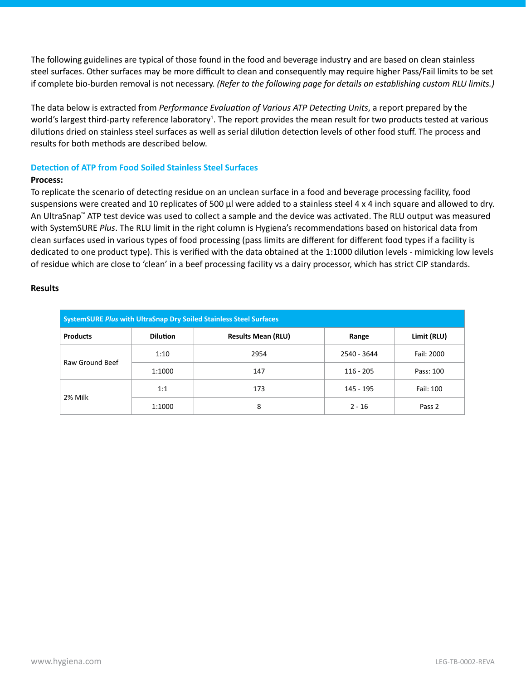The following guidelines are typical of those found in the food and beverage industry and are based on clean stainless steel surfaces. Other surfaces may be more difficult to clean and consequently may require higher Pass/Fail limits to be set if complete bio-burden removal is not necessary. *(Refer to the following page for details on establishing custom RLU limits.)*

The data below is extracted from *Performance Evaluation of Various ATP Detecting Units*, a report prepared by the world's largest third-party reference laboratory<sup>1</sup>. The report provides the mean result for two products tested at various dilutions dried on stainless steel surfaces as well as serial dilution detection levels of other food stuff. The process and results for both methods are described below.

# **Detection of ATP from Food Soiled Stainless Steel Surfaces**

# **Process:**

To replicate the scenario of detecting residue on an unclean surface in a food and beverage processing facility, food suspensions were created and 10 replicates of 500 μl were added to a stainless steel 4 x 4 inch square and allowed to dry. An UltraSnap™ ATP test device was used to collect a sample and the device was activated. The RLU output was measured with SystemSURE *Plus*. The RLU limit in the right column is Hygiena's recommendations based on historical data from clean surfaces used in various types of food processing (pass limits are different for different food types if a facility is dedicated to one product type). This is verified with the data obtained at the 1:1000 dilution levels - mimicking low levels of residue which are close to 'clean' in a beef processing facility vs a dairy processor, which has strict CIP standards.

## **Results**

| <b>SystemSURE Plus with UltraSnap Dry Soiled Stainless Steel Surfaces</b> |                 |                                    |             |             |  |
|---------------------------------------------------------------------------|-----------------|------------------------------------|-------------|-------------|--|
| <b>Products</b>                                                           | <b>Dilution</b> | <b>Results Mean (RLU)</b><br>Range |             | Limit (RLU) |  |
| Raw Ground Beef                                                           | 1:10            | 2954                               | 2540 - 3644 | Fail: 2000  |  |
|                                                                           | 1:1000          | 147                                | $116 - 205$ | Pass: 100   |  |
|                                                                           | 1:1             | 173                                | 145 - 195   | Fail: 100   |  |
| 2% Milk                                                                   | 1:1000          | 8                                  | $2 - 16$    | Pass 2      |  |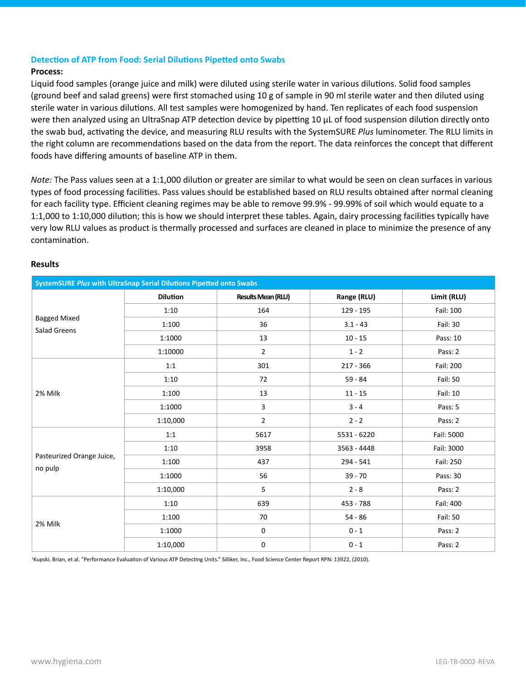# **Detection of ATP from Food: Serial Dilutions Pipetted onto Swabs**

#### **Process:**

Liquid food samples (orange juice and milk) were diluted using sterile water in various dilutions. Solid food samples (ground beef and salad greens) were first stomached using 10 g of sample in 90 ml sterile water and then diluted using sterile water in various dilutions. All test samples were homogenized by hand. Ten replicates of each food suspension were then analyzed using an UltraSnap ATP detection device by pipetting 10 μL of food suspension dilution directly onto the swab bud, activating the device, and measuring RLU results with the SystemSURE *Plus* luminometer. The RLU limits in the right column are recommendations based on the data from the report. The data reinforces the concept that different foods have differing amounts of baseline ATP in them.

*Note:* The Pass values seen at a 1:1,000 dilution or greater are similar to what would be seen on clean surfaces in various types of food processing facilities. Pass values should be established based on RLU results obtained after normal cleaning for each facility type. Efficient cleaning regimes may be able to remove 99.9% - 99.99% of soil which would equate to a 1:1,000 to 1:10,000 dilution; this is how we should interpret these tables. Again, dairy processing facilities typically have very low RLU values as product is thermally processed and surfaces are cleaned in place to minimize the presence of any contamination.

## **Results**

| SystemSURE Plus with UltraSnap Serial Dilutions Pipetted onto Swabs |                 |                           |             |             |  |  |
|---------------------------------------------------------------------|-----------------|---------------------------|-------------|-------------|--|--|
|                                                                     | <b>Dilution</b> | <b>Results Mean (RLU)</b> | Range (RLU) | Limit (RLU) |  |  |
|                                                                     | 1:10            | 164                       | 129 - 195   | Fail: 100   |  |  |
| <b>Bagged Mixed</b><br>Salad Greens                                 | 1:100           | 36                        | $3.1 - 43$  | Fail: 30    |  |  |
|                                                                     | 1:1000          | 13                        | $10 - 15$   | Pass: 10    |  |  |
|                                                                     | 1:10000         | $\overline{2}$            | $1 - 2$     | Pass: 2     |  |  |
|                                                                     | 1:1             | 301                       | $217 - 366$ | Fail: 200   |  |  |
|                                                                     | 1:10            | 72                        | $59 - 84$   | Fail: 50    |  |  |
| 2% Milk                                                             | 1:100           | 13                        | $11 - 15$   | Fail: 10    |  |  |
|                                                                     | 1:1000          | 3                         | $3 - 4$     | Pass: 5     |  |  |
|                                                                     | 1:10,000        | $\overline{2}$            | $2 - 2$     | Pass: 2     |  |  |
|                                                                     | 1:1             | 5617                      | 5531 - 6220 | Fail: 5000  |  |  |
|                                                                     | 1:10            | 3958                      | 3563 - 4448 | Fail: 3000  |  |  |
| Pasteurized Orange Juice,<br>no pulp                                | 1:100           | 437                       | $294 - 541$ | Fail: 250   |  |  |
|                                                                     | 1:1000          | 56                        | $39 - 70$   | Pass: 30    |  |  |
|                                                                     | 1:10,000        | 5                         | $2 - 8$     | Pass: 2     |  |  |
|                                                                     | 1:10            | 639                       | 453 - 788   | Fail: 400   |  |  |
|                                                                     | 1:100           | 70                        | $54 - 86$   | Fail: 50    |  |  |
| 2% Milk                                                             | 1:1000          | $\mathbf 0$               | $0 - 1$     | Pass: 2     |  |  |
|                                                                     | 1:10,000        | 0                         | $0 - 1$     | Pass: 2     |  |  |

1 Kupski, Brian, et al. "Performance Evaluation of Various ATP Detecting Units." Silliker, Inc., Food Science Center Report RPN: 13922, (2010).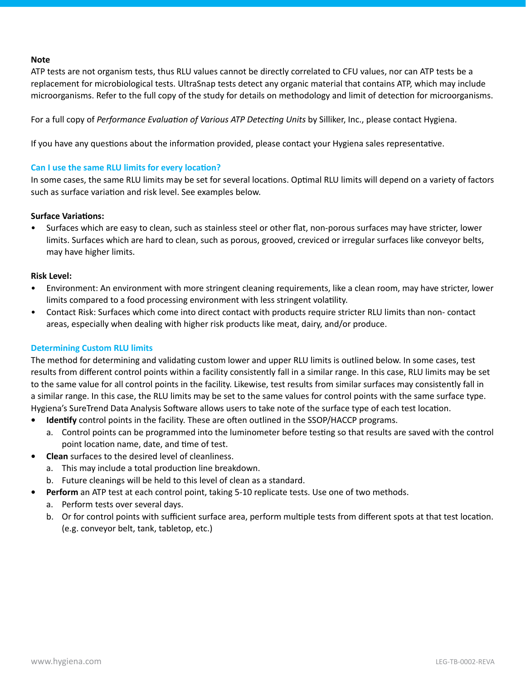#### **Note**

ATP tests are not organism tests, thus RLU values cannot be directly correlated to CFU values, nor can ATP tests be a replacement for microbiological tests. UltraSnap tests detect any organic material that contains ATP, which may include microorganisms. Refer to the full copy of the study for details on methodology and limit of detection for microorganisms.

For a full copy of *Performance Evaluation of Various ATP Detecting Units* by Silliker, Inc., please contact Hygiena.

If you have any questions about the information provided, please contact your Hygiena sales representative.

# **Can I use the same RLU limits for every location?**

In some cases, the same RLU limits may be set for several locations. Optimal RLU limits will depend on a variety of factors such as surface variation and risk level. See examples below.

## **Surface Variations:**

• Surfaces which are easy to clean, such as stainless steel or other flat, non-porous surfaces may have stricter, lower limits. Surfaces which are hard to clean, such as porous, grooved, creviced or irregular surfaces like conveyor belts, may have higher limits.

## **Risk Level:**

- Environment: An environment with more stringent cleaning requirements, like a clean room, may have stricter, lower limits compared to a food processing environment with less stringent volatility.
- Contact Risk: Surfaces which come into direct contact with products require stricter RLU limits than non- contact areas, especially when dealing with higher risk products like meat, dairy, and/or produce.

# **Determining Custom RLU limits**

The method for determining and validating custom lower and upper RLU limits is outlined below. In some cases, test results from different control points within a facility consistently fall in a similar range. In this case, RLU limits may be set to the same value for all control points in the facility. Likewise, test results from similar surfaces may consistently fall in a similar range. In this case, the RLU limits may be set to the same values for control points with the same surface type. Hygiena's SureTrend Data Analysis Software allows users to take note of the surface type of each test location.

- **• Identify** control points in the facility. These are often outlined in the SSOP/HACCP programs.
	- a. Control points can be programmed into the luminometer before testing so that results are saved with the control point location name, date, and time of test.
- **• Clean** surfaces to the desired level of cleanliness.
	- a. This may include a total production line breakdown.
	- b. Future cleanings will be held to this level of clean as a standard.
	- **• Perform** an ATP test at each control point, taking 5-10 replicate tests. Use one of two methods.
		- a. Perform tests over several days.
		- b. Or for control points with sufficient surface area, perform multiple tests from different spots at that test location. (e.g. conveyor belt, tank, tabletop, etc.)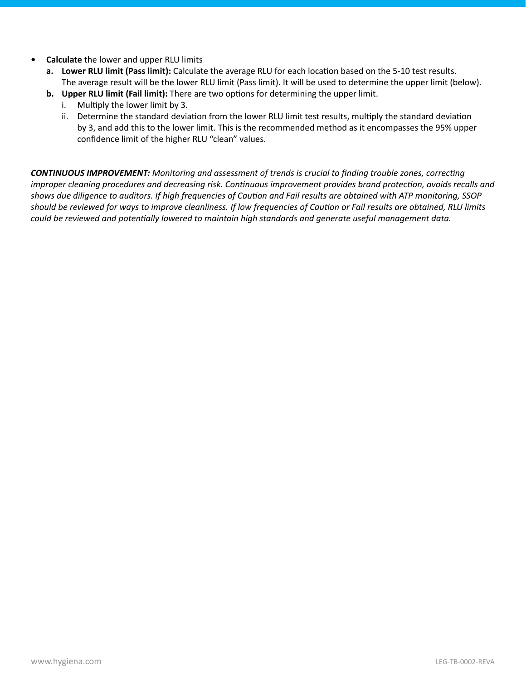- **• Calculate** the lower and upper RLU limits
	- **a. Lower RLU limit (Pass limit):** Calculate the average RLU for each location based on the 5-10 test results. The average result will be the lower RLU limit (Pass limit). It will be used to determine the upper limit (below).
	- **b. Upper RLU limit (Fail limit):** There are two options for determining the upper limit.
		- i. Multiply the lower limit by 3.
		- ii. Determine the standard deviation from the lower RLU limit test results, multiply the standard deviation by 3, and add this to the lower limit. This is the recommended method as it encompasses the 95% upper confidence limit of the higher RLU "clean" values.

*CONTINUOUS IMPROVEMENT: Monitoring and assessment of trends is crucial to finding trouble zones, correcting improper cleaning procedures and decreasing risk. Continuous improvement provides brand protection, avoids recalls and shows due diligence to auditors. If high frequencies of Caution and Fail results are obtained with ATP monitoring, SSOP should be reviewed for ways to improve cleanliness. If low frequencies of Caution or Fail results are obtained, RLU limits could be reviewed and potentially lowered to maintain high standards and generate useful management data.*